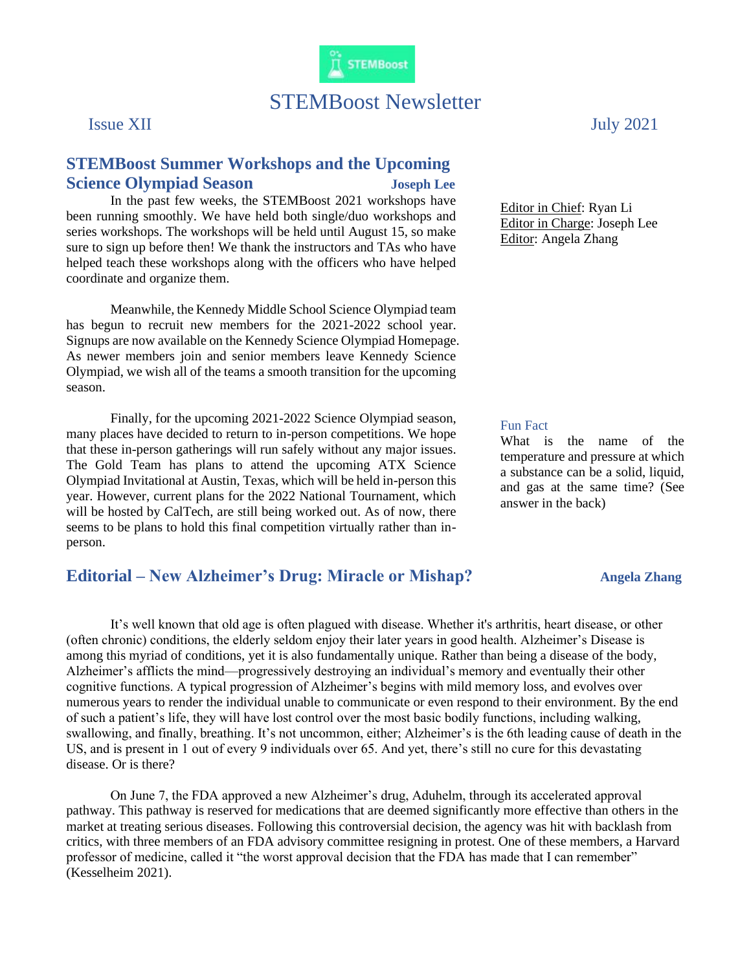

# STEMBoost Newsletter

## **STEMBoost Summer Workshops and the Upcoming Science Olympiad Season Joseph Lee**

In the past few weeks, the STEMBoost 2021 workshops have been running smoothly. We have held both single/duo workshops and series workshops. The workshops will be held until August 15, so make sure to sign up before then! We thank the instructors and TAs who have helped teach these workshops along with the officers who have helped coordinate and organize them.

Meanwhile, the Kennedy Middle School Science Olympiad team has begun to recruit new members for the 2021-2022 school year. Signups are now available on the Kennedy Science Olympiad Homepage. As newer members join and senior members leave Kennedy Science Olympiad, we wish all of the teams a smooth transition for the upcoming season.

Finally, for the upcoming 2021-2022 Science Olympiad season, many places have decided to return to in-person competitions. We hope that these in-person gatherings will run safely without any major issues. The Gold Team has plans to attend the upcoming ATX Science Olympiad Invitational at Austin, Texas, which will be held in-person this year. However, current plans for the 2022 National Tournament, which will be hosted by CalTech, are still being worked out. As of now, there seems to be plans to hold this final competition virtually rather than inperson.

## **Editorial** – New Alzheimer's Drug: Miracle or Mishap? **Angela Zhang**

Issue XII July 2021

Editor in Chief: Ryan Li Editor in Charge: Joseph Lee Editor: Angela Zhang

#### Fun Fact

What is the name of the temperature and pressure at which a substance can be a solid, liquid, and gas at the same time? (See answer in the back)

It's well known that old age is often plagued with disease. Whether it's arthritis, heart disease, or other (often chronic) conditions, the elderly seldom enjoy their later years in good health. Alzheimer's Disease is among this myriad of conditions, yet it is also fundamentally unique. Rather than being a disease of the body, Alzheimer's afflicts the mind—progressively destroying an individual's memory and eventually their other cognitive functions. A typical progression of Alzheimer's begins with mild memory loss, and evolves over numerous years to render the individual unable to communicate or even respond to their environment. By the end of such a patient's life, they will have lost control over the most basic bodily functions, including walking, swallowing, and finally, breathing. It's not uncommon, either; Alzheimer's is the 6th leading cause of death in the US, and is present in 1 out of every 9 individuals over 65. And yet, there's still no cure for this devastating disease. Or is there?

On June 7, the FDA approved a new Alzheimer's drug, Aduhelm, through its accelerated approval pathway. This pathway is reserved for medications that are deemed significantly more effective than others in the market at treating serious diseases. Following this controversial decision, the agency was hit with backlash from critics, with three members of an FDA advisory committee resigning in protest. One of these members, a Harvard professor of medicine, called it "the worst approval decision that the FDA has made that I can remember" (Kesselheim 2021).